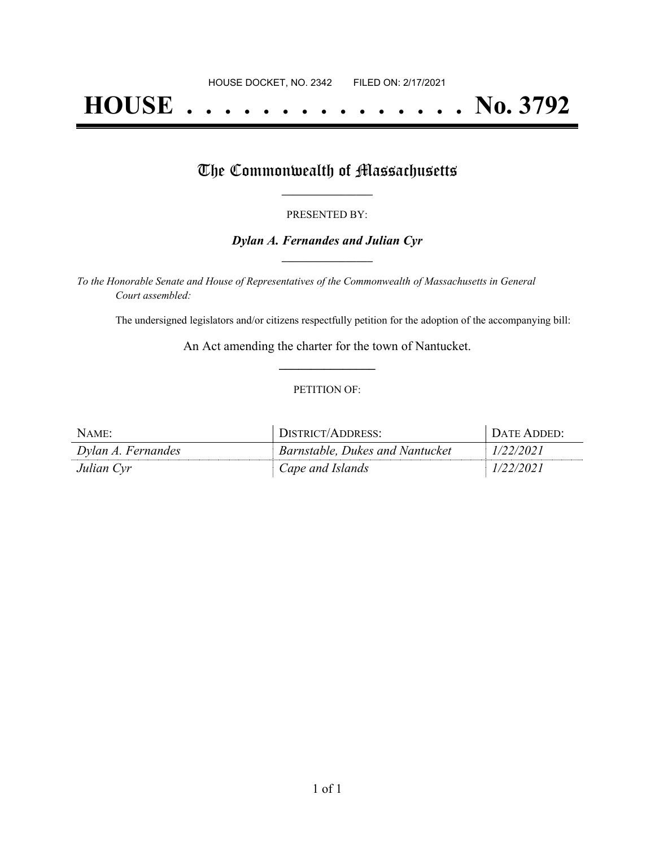# **HOUSE . . . . . . . . . . . . . . . No. 3792**

## The Commonwealth of Massachusetts

#### PRESENTED BY:

#### *Dylan A. Fernandes and Julian Cyr* **\_\_\_\_\_\_\_\_\_\_\_\_\_\_\_\_\_**

*To the Honorable Senate and House of Representatives of the Commonwealth of Massachusetts in General Court assembled:*

The undersigned legislators and/or citizens respectfully petition for the adoption of the accompanying bill:

An Act amending the charter for the town of Nantucket. **\_\_\_\_\_\_\_\_\_\_\_\_\_\_\_**

#### PETITION OF:

| NAME:              | DISTRICT/ADDRESS:               | <b>I DATE ADDED:</b> |
|--------------------|---------------------------------|----------------------|
| Dylan A. Fernandes | Barnstable, Dukes and Nantucket | 1/22/2021            |
| Julian Cyr         | Cape and Islands                | 1/22/2021            |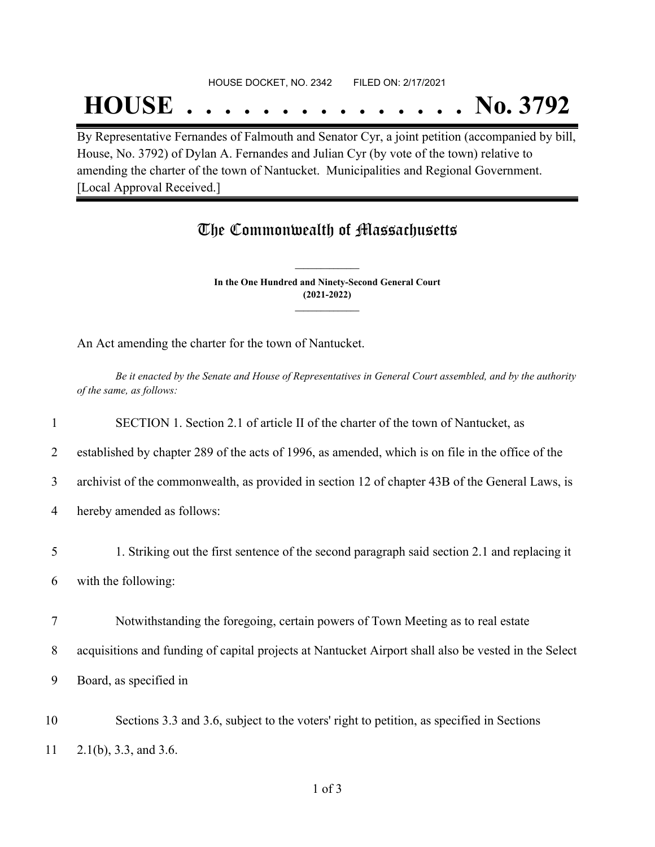#### HOUSE DOCKET, NO. 2342 FILED ON: 2/17/2021

## **HOUSE . . . . . . . . . . . . . . . No. 3792**

By Representative Fernandes of Falmouth and Senator Cyr, a joint petition (accompanied by bill, House, No. 3792) of Dylan A. Fernandes and Julian Cyr (by vote of the town) relative to amending the charter of the town of Nantucket. Municipalities and Regional Government. [Local Approval Received.]

### The Commonwealth of Massachusetts

**In the One Hundred and Ninety-Second General Court (2021-2022) \_\_\_\_\_\_\_\_\_\_\_\_\_\_\_**

**\_\_\_\_\_\_\_\_\_\_\_\_\_\_\_**

An Act amending the charter for the town of Nantucket.

Be it enacted by the Senate and House of Representatives in General Court assembled, and by the authority *of the same, as follows:*

 SECTION 1. Section 2.1 of article II of the charter of the town of Nantucket, as established by chapter 289 of the acts of 1996, as amended, which is on file in the office of the archivist of the commonwealth, as provided in section 12 of chapter 43B of the General Laws, is hereby amended as follows: 1. Striking out the first sentence of the second paragraph said section 2.1 and replacing it with the following: Notwithstanding the foregoing, certain powers of Town Meeting as to real estate acquisitions and funding of capital projects at Nantucket Airport shall also be vested in the Select

9 Board, as specified in

10 Sections 3.3 and 3.6, subject to the voters' right to petition, as specified in Sections 11 2.1(b), 3.3, and 3.6.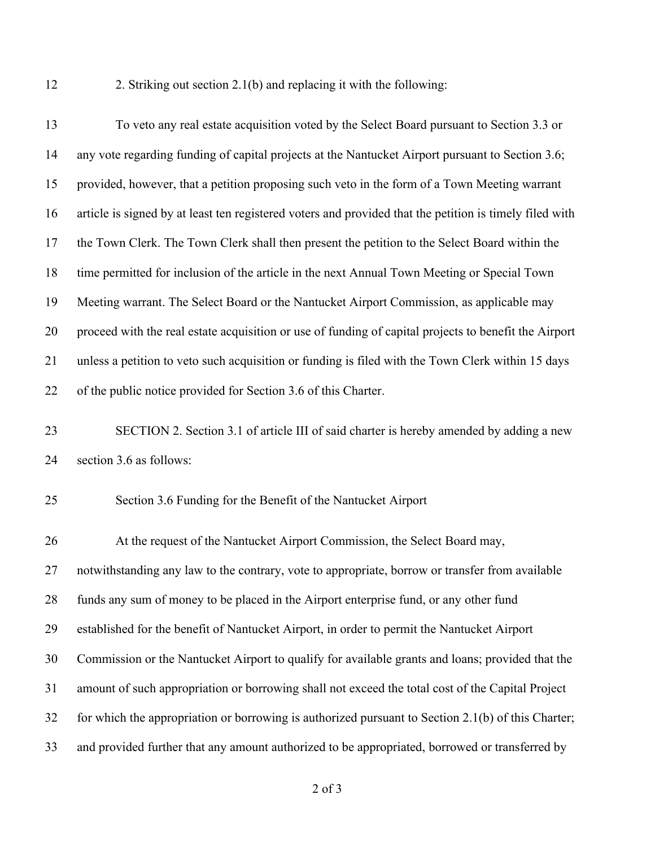2. Striking out section 2.1(b) and replacing it with the following:

 To veto any real estate acquisition voted by the Select Board pursuant to Section 3.3 or any vote regarding funding of capital projects at the Nantucket Airport pursuant to Section 3.6; provided, however, that a petition proposing such veto in the form of a Town Meeting warrant article is signed by at least ten registered voters and provided that the petition is timely filed with the Town Clerk. The Town Clerk shall then present the petition to the Select Board within the time permitted for inclusion of the article in the next Annual Town Meeting or Special Town Meeting warrant. The Select Board or the Nantucket Airport Commission, as applicable may proceed with the real estate acquisition or use of funding of capital projects to benefit the Airport unless a petition to veto such acquisition or funding is filed with the Town Clerk within 15 days of the public notice provided for Section 3.6 of this Charter. SECTION 2. Section 3.1 of article III of said charter is hereby amended by adding a new section 3.6 as follows: Section 3.6 Funding for the Benefit of the Nantucket Airport At the request of the Nantucket Airport Commission, the Select Board may, notwithstanding any law to the contrary, vote to appropriate, borrow or transfer from available funds any sum of money to be placed in the Airport enterprise fund, or any other fund established for the benefit of Nantucket Airport, in order to permit the Nantucket Airport Commission or the Nantucket Airport to qualify for available grants and loans; provided that the amount of such appropriation or borrowing shall not exceed the total cost of the Capital Project for which the appropriation or borrowing is authorized pursuant to Section 2.1(b) of this Charter; and provided further that any amount authorized to be appropriated, borrowed or transferred by